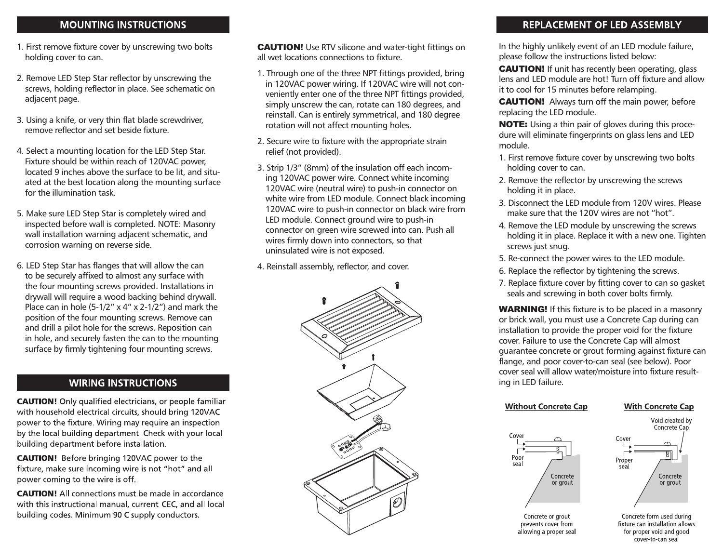## **MOUNTING INSTRUCTIONS**

- 1. First remove fixture cover by unscrewing two bolts holding cover to can.
- 2. Remove LED Step Star reflector by unscrewing the screws, holding reflector in place. See schematic on adjacent page.
- 3. Using a knife, or very thin flat blade screwdriver, remove reflector and set beside fixture.
- 4. Select a mounting location for the LED Step Star. Fixture should be within reach of 120VAC power, located 9 inches above the surface to be lit, and situated at the best location along the mounting surface for the illumination task.
- 5. Make sure LED Step Star is completely wired and inspected before wall is completed. NOTE: Masonry wall installation warning adjacent schematic, and corrosion warning on reverse side.
- 6. LED Step Star has flanges that will allow the can to be securely affixed to almost any surface with the four mounting screws provided. Installations in drywall will require a wood backing behind drywall. Place can in hole  $(5-1/2" \times 4" \times 2-1/2")$  and mark the position of the four mounting screws. Remove can and drill a pilot hole for the screws. Reposition can in hole, and securely fasten the can to the mounting surface by firmly tightening four mounting screws.

# **WIRING INSTRUCTIONS**

**CAUTION!** Only qualified electricians, or people familiar with household electrical circuits, should bring 120VAC power to the fixture. Wiring may require an inspection by the local building department. Check with your local building department before installation.

**CAUTION!** Before bringing 120VAC power to the fixture, make sure incoming wire is not "hot" and all power coming to the wire is off.

**CAUTION!** All connections must be made in accordance with this instructional manual, current CEC, and all local building codes. Minimum 90 C supply conductors.

CAUTION! Use RTV silicone and water-tight fittings on all wet locations connections to fixture.

- 1. Through one of the three NPT fittings provided, bring in 120VAC power wiring. If 120VAC wire will not conveniently enter one of the three NPT fittings provided, simply unscrew the can, rotate can 180 degrees, and reinstall. Can is entirely symmetrical, and 180 degree rotation will not affect mounting holes.
- 2. Secure wire to fixture with the appropriate strain relief (not provided).
- 3. Strip 1/3" (8mm) of the insulation off each incoming 120VAC power wire. Connect white incoming 120VAC wire (neutral wire) to push-in connector on white wire from LED module. Connect black incoming 120VAC wire to push-in connector on black wire from LED module. Connect ground wire to push-in connector on green wire screwed into can. Push all wires firmly down into connectors, so that uninsulated wire is not exposed.
- 4. Reinstall assembly, reflector, and cover.



# **REPLACEMENT OF LED ASSEMBLY**

In the highly unlikely event of an LED module failure, please follow the instructions listed below:

**CAUTION!** If unit has recently been operating, glass lens and LED module are hot! Turn off fixture and allow it to cool for 15 minutes before relamping.

**CAUTION!** Always turn off the main power, before replacing the LED module.

NOTE: Using a thin pair of gloves during this procedure will eliminate fingerprints on glass lens and LED module.

- 1. First remove fixture cover by unscrewing two bolts holding cover to can.
- 2. Remove the reflector by unscrewing the screws holding it in place.
- 3. Disconnect the LED module from 120V wires. Please make sure that the 120V wires are not "hot".
- 4. Remove the LED module by unscrewing the screws holding it in place. Replace it with a new one. Tighten screws just snug.
- 5. Re-connect the power wires to the LED module.
- 6. Replace the reflector by tightening the screws.
- 7. Replace fixture cover by fitting cover to can so gasket seals and screwing in both cover bolts firmly.

**WARNING!** If this fixture is to be placed in a masonry or brick wall, you must use a Concrete Cap during can installation to provide the proper void for the fixture cover. Failure to use the Concrete Cap will almost guarantee concrete or grout forming against fixture can flange, and poor cover-to-can seal (see below). Poor cover seal will allow water/moisture into fixture resulting in LED failure.

Cover Pool sea Concrete or grout Concrete or grout

prevents cover from

allowing a proper seal

**Without Concrete Cap** 

# **With Concrete Cap**

Void created by



Concrete form used during fixture can installation allows for proper void and good .<br>cover-to-can seal